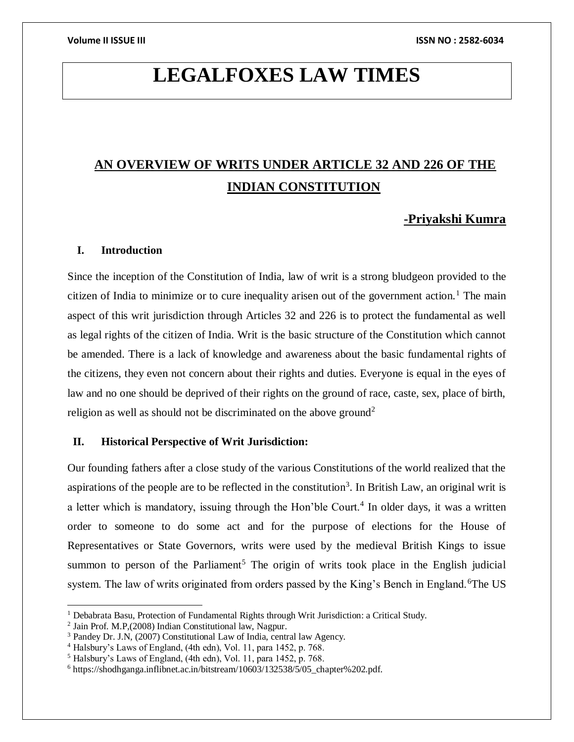# **LEGALFOXES LAW TIMES**

## **AN OVERVIEW OF WRITS UNDER ARTICLE 32 AND 226 OF THE INDIAN CONSTITUTION**

### **-Priyakshi Kumra**

### **I. Introduction**

Since the inception of the Constitution of India, law of writ is a strong bludgeon provided to the citizen of India to minimize or to cure inequality arisen out of the government action.<sup>1</sup> The main aspect of this writ jurisdiction through Articles 32 and 226 is to protect the fundamental as well as legal rights of the citizen of India. Writ is the basic structure of the Constitution which cannot be amended. There is a lack of knowledge and awareness about the basic fundamental rights of the citizens, they even not concern about their rights and duties. Everyone is equal in the eyes of law and no one should be deprived of their rights on the ground of race, caste, sex, place of birth, religion as well as should not be discriminated on the above ground<sup>2</sup>

#### **II. Historical Perspective of Writ Jurisdiction:**

Our founding fathers after a close study of the various Constitutions of the world realized that the aspirations of the people are to be reflected in the constitution<sup>3</sup>. In British Law, an original writ is a letter which is mandatory, issuing through the Hon'ble Court.<sup>4</sup> In older days, it was a written order to someone to do some act and for the purpose of elections for the House of Representatives or State Governors, writs were used by the medieval British Kings to issue summon to person of the Parliament<sup>5</sup> The origin of writs took place in the English judicial system. The law of writs originated from orders passed by the King's Bench in England.<sup>6</sup>The US

 $\overline{a}$ 

<sup>&</sup>lt;sup>1</sup> Debabrata Basu, Protection of Fundamental Rights through Writ Jurisdiction: a Critical Study.

<sup>2</sup> Jain Prof. M.P,(2008) Indian Constitutional law, Nagpur.

<sup>3</sup> Pandey Dr. J.N, (2007) Constitutional Law of India, central law Agency.

<sup>4</sup> Halsbury's Laws of England, (4th edn), Vol. 11, para 1452, p. 768.

<sup>5</sup> Halsbury's Laws of England, (4th edn), Vol. 11, para 1452, p. 768.

<sup>6</sup> https://shodhganga.inflibnet.ac.in/bitstream/10603/132538/5/05\_chapter%202.pdf.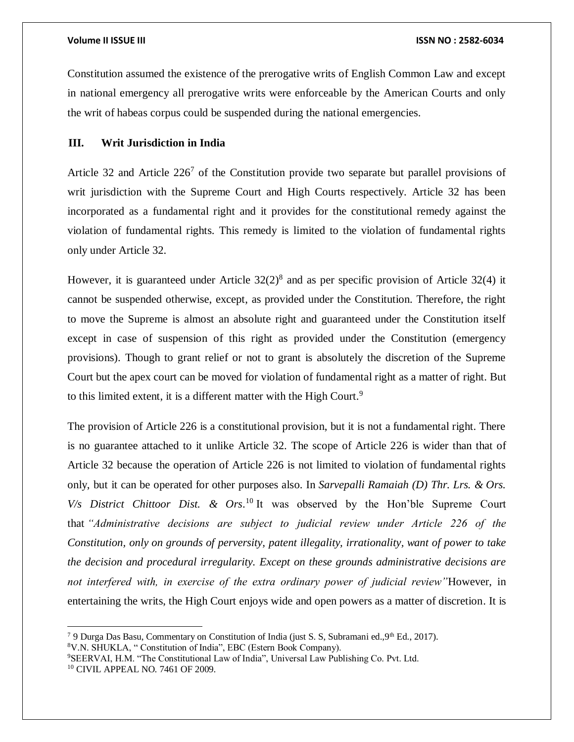$\overline{a}$ 

Constitution assumed the existence of the prerogative writs of English Common Law and except in national emergency all prerogative writs were enforceable by the American Courts and only the writ of habeas corpus could be suspended during the national emergencies.

#### **III. Writ Jurisdiction in India**

Article 32 and Article  $226<sup>7</sup>$  of the Constitution provide two separate but parallel provisions of writ jurisdiction with the Supreme Court and High Courts respectively. Article 32 has been incorporated as a fundamental right and it provides for the constitutional remedy against the violation of fundamental rights. This remedy is limited to the violation of fundamental rights only under Article 32.

However, it is guaranteed under Article  $32(2)^8$  and as per specific provision of Article 32(4) it cannot be suspended otherwise, except, as provided under the Constitution. Therefore, the right to move the Supreme is almost an absolute right and guaranteed under the Constitution itself except in case of suspension of this right as provided under the Constitution (emergency provisions). Though to grant relief or not to grant is absolutely the discretion of the Supreme Court but the apex court can be moved for violation of fundamental right as a matter of right. But to this limited extent, it is a different matter with the High Court.<sup>9</sup>

The provision of Article 226 is a constitutional provision, but it is not a fundamental right. There is no guarantee attached to it unlike Article 32. The scope of Article 226 is wider than that of Article 32 because the operation of Article 226 is not limited to violation of fundamental rights only, but it can be operated for other purposes also. In *Sarvepalli Ramaiah (D) Thr. Lrs. & Ors.*   $V/s$  District Chittoor Dist. & Ors.<sup>10</sup> It was observed by the Hon'ble Supreme Court that *"Administrative decisions are subject to judicial review under Article 226 of the Constitution, only on grounds of perversity, patent illegality, irrationality, want of power to take the decision and procedural irregularity. Except on these grounds administrative decisions are not interfered with, in exercise of the extra ordinary power of judicial review"*However, in entertaining the writs, the High Court enjoys wide and open powers as a matter of discretion. It is

<sup>&</sup>lt;sup>7</sup> 9 Durga Das Basu, Commentary on Constitution of India (just S. S, Subramani ed., 9<sup>th</sup> Ed., 2017). <sup>8</sup>V.N. SHUKLA, " Constitution of India", EBC (Estern Book Company).

<sup>9</sup>SEERVAI, H.M. "The Constitutional Law of India", Universal Law Publishing Co. Pvt. Ltd. <sup>10</sup> CIVIL APPEAL NO. 7461 OF 2009.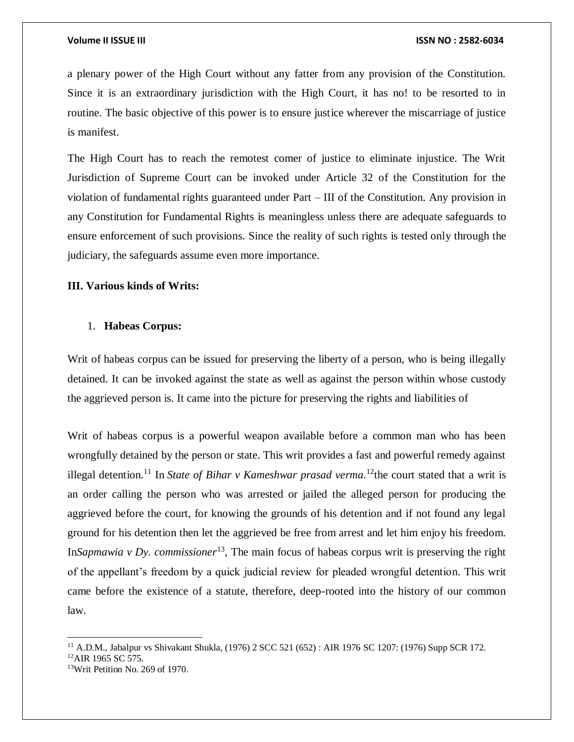#### **Volume II ISSUE III ISSN NO : 2582-6034**

a plenary power of the High Court without any fatter from any provision of the Constitution. Since it is an extraordinary jurisdiction with the High Court, it has no! to be resorted to in routine. The basic objective of this power is to ensure justice wherever the miscarriage of justice is manifest.

The High Court has to reach the remotest comer of justice to eliminate injustice. The Writ Jurisdiction of Supreme Court can be invoked under Article 32 of the Constitution for the violation of fundamental rights guaranteed under Part – III of the Constitution. Any provision in any Constitution for Fundamental Rights is meaningless unless there are adequate safeguards to ensure enforcement of such provisions. Since the reality of such rights is tested only through the judiciary, the safeguards assume even more importance.

### **III. Various kinds of Writs:**

#### 1. **Habeas Corpus:**

Writ of habeas corpus can be issued for preserving the liberty of a person, who is being illegally detained. It can be invoked against the state as well as against the person within whose custody the aggrieved person is. It came into the picture for preserving the rights and liabilities of

Writ of habeas corpus is a powerful weapon available before a common man who has been wrongfully detained by the person or state. This writ provides a fast and powerful remedy against illegal detention.<sup>11</sup> In *State of Bihar v Kameshwar prasad verma*.<sup>12</sup>the court stated that a writ is an order calling the person who was arrested or jailed the alleged person for producing the aggrieved before the court, for knowing the grounds of his detention and if not found any legal ground for his detention then let the aggrieved be free from arrest and let him enjoy his freedom. In*[Sapmawia v Dy. commissioner](https://indiankanoon.org/doc/330105/)*<sup>13</sup>, The main focus of habeas corpus writ is preserving the right of the appellant's freedom by a quick judicial review for pleaded wrongful detention. This writ came before the existence of a statute, therefore, deep-rooted into the history of our common law.

 $\overline{a}$ 

<sup>11</sup> A.D.M., Jabalpur vs Shivakant Shukla, (1976) 2 SCC 521 (652) : AIR 1976 SC 1207: (1976) Supp SCR 172.

<sup>&</sup>lt;sup>12</sup>AIR 1965 SC 575.

<sup>13</sup>Writ Petition No. 269 of 1970.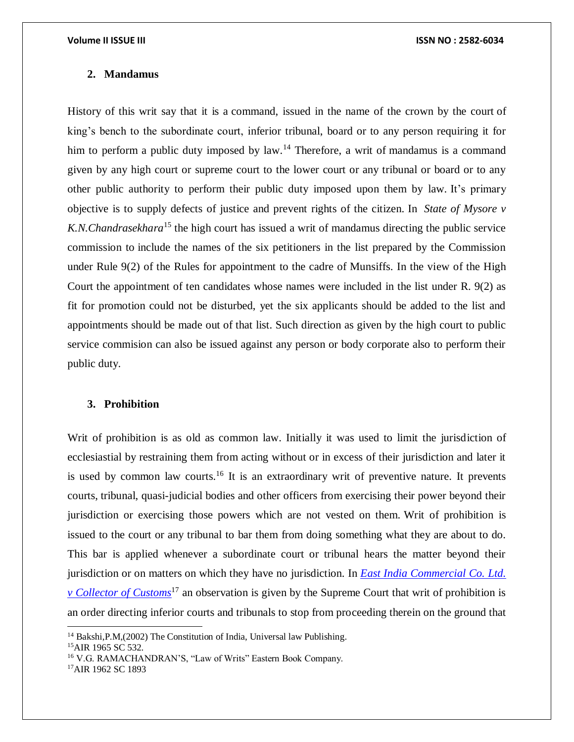#### **2. Mandamus**

History of this writ say that it is a command, issued in the name of the crown by the court of king's bench to the subordinate court, inferior tribunal, board or to any person requiring it for him to perform a public duty imposed by law.<sup>14</sup> Therefore, a writ of mandamus is a command given by any high court or supreme court to the lower court or any tribunal or board or to any other public authority to perform their public duty imposed upon them by law. It's primary objective is to supply defects of justice and prevent rights of the citizen. In *[State of Mysore v](https://indiankanoon.org/doc/196861122/)  [K.N.Chandrasekhara](https://indiankanoon.org/doc/196861122/)*<sup>15</sup> the high court has issued a writ of mandamus directing the public service commission to include the names of the six petitioners in the list prepared by the Commission under Rule 9(2) of the Rules for appointment to the cadre of Munsiffs. In the view of the High Court the appointment of ten candidates whose names were included in the list under R. 9(2) as fit for promotion could not be disturbed, yet the six applicants should be added to the list and appointments should be made out of that list. Such direction as given by the high court to public service commision can also be issued against any person or body corporate also to perform their public duty.

#### **3. Prohibition**

Writ of prohibition is as old as common law. Initially it was used to limit the jurisdiction of ecclesiastial by restraining them from acting without or in excess of their jurisdiction and later it is used by common law courts.<sup>16</sup> It is an extraordinary writ of preventive nature. It prevents courts, tribunal, quasi-judicial bodies and other officers from exercising their power beyond their jurisdiction or exercising those powers which are not vested on them. Writ of prohibition is issued to the court or any tribunal to bar them from doing something what they are about to do. This bar is applied whenever a subordinate court or tribunal hears the matter beyond their jurisdiction or on matters on which they have no jurisdiction. In *[East India Commercial Co. Ltd.](https://indiankanoon.org/doc/1839963/)  [v Collector of Customs](https://indiankanoon.org/doc/1839963/)*<sup>17</sup> an observation is given by the Supreme Court that writ of prohibition is an order directing inferior courts and tribunals to stop from proceeding therein on the ground that

 $\overline{a}$ 

17AIR 1962 SC 1893

<sup>&</sup>lt;sup>14</sup> Bakshi, P.M, (2002) The Constitution of India, Universal law Publishing.

<sup>&</sup>lt;sup>15</sup>AIR 1965 SC 532.

<sup>&</sup>lt;sup>16</sup> V.G. RAMACHANDRAN'S, "Law of Writs" Eastern Book Company.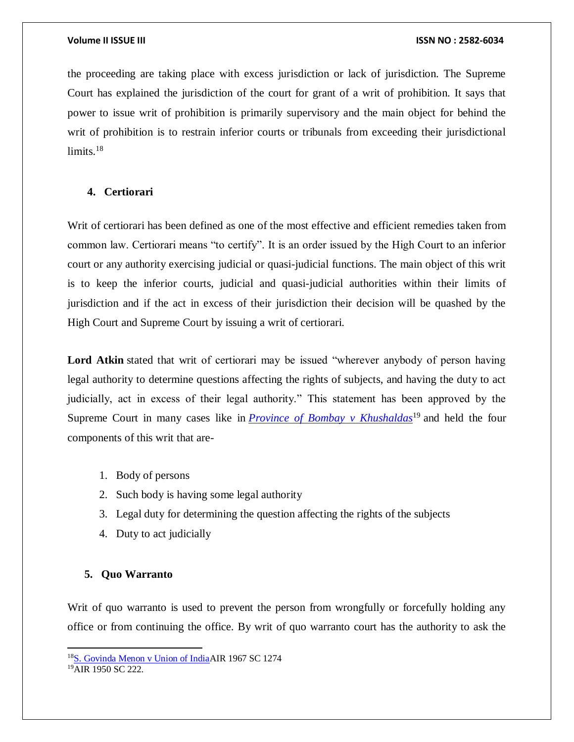the proceeding are taking place with excess jurisdiction or lack of jurisdiction. The Supreme Court has explained the jurisdiction of the court for grant of a writ of prohibition. It says that power to issue writ of prohibition is primarily supervisory and the main object for behind the writ of prohibition is to restrain inferior courts or tribunals from exceeding their jurisdictional  $limits.<sup>18</sup>$ 

### **4. Certiorari**

Writ of certiorari has been defined as one of the most effective and efficient remedies taken from common law. Certiorari means "to certify". It is an order issued by the High Court to an inferior court or any authority exercising judicial or quasi-judicial functions. The main object of this writ is to keep the inferior courts, judicial and quasi-judicial authorities within their limits of jurisdiction and if the act in excess of their jurisdiction their decision will be quashed by the High Court and Supreme Court by issuing a writ of certiorari.

Lord Atkin stated that writ of certiorari may be issued "wherever anybody of person having legal authority to determine questions affecting the rights of subjects, and having the duty to act judicially, act in excess of their legal authority." This statement has been approved by the Supreme Court in many cases like in *[Province of Bombay v Khushaldas](https://indiankanoon.org/doc/1954356/)*<sup>19</sup> and held the four components of this writ that are-

- 1. Body of persons
- 2. Such body is having some legal authority
- 3. Legal duty for determining the question affecting the rights of the subjects
- 4. Duty to act judicially

#### **5. Quo Warranto**

Writ of quo warranto is used to prevent the person from wrongfully or forcefully holding any office or from continuing the office. By writ of quo warranto court has the authority to ask the

 $\overline{\phantom{a}}$ 

<sup>18</sup>[S. Govinda Menon v Union of IndiaA](https://indiankanoon.org/doc/1345052/)IR 1967 SC 1274

<sup>19</sup>AIR 1950 SC 222.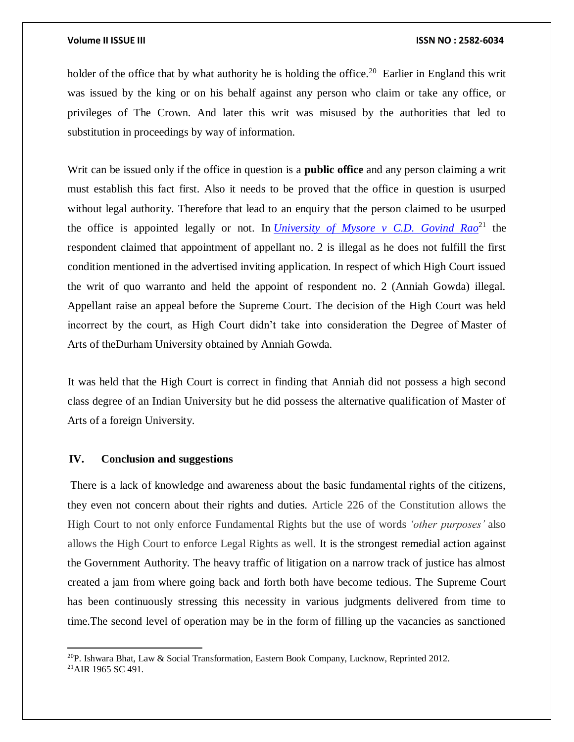holder of the office that by what authority he is holding the office.<sup>20</sup> Earlier in England this writ was issued by the king or on his behalf against any person who claim or take any office, or privileges of The Crown. And later this writ was misused by the authorities that led to substitution in proceedings by way of information.

Writ can be issued only if the office in question is a **public office** and any person claiming a writ must establish this fact first. Also it needs to be proved that the office in question is usurped without legal authority. Therefore that lead to an enquiry that the person claimed to be usurped the office is appointed legally or not. In *[University of Mysore v C.D. Govind Rao](https://indiankanoon.org/doc/295084/)*<sup>21</sup> the respondent claimed that appointment of appellant no. 2 is illegal as he does not fulfill the first condition mentioned in the advertised inviting application. In respect of which High Court issued the writ of quo warranto and held the appoint of respondent no. 2 (Anniah Gowda) illegal. Appellant raise an appeal before the Supreme Court. The decision of the High Court was held incorrect by the court, as High Court didn't take into consideration the Degree of Master of Arts of theDurham University obtained by Anniah Gowda.

It was held that the High Court is correct in finding that Anniah did not possess a high second class degree of an Indian University but he did possess the alternative qualification of Master of Arts of a foreign University.

### **IV. Conclusion and suggestions**

There is a lack of knowledge and awareness about the basic fundamental rights of the citizens, they even not concern about their rights and duties. Article 226 of the Constitution allows the High Court to not only enforce Fundamental Rights but the use of words *'other purposes'* also allows the High Court to enforce Legal Rights as well. It is the strongest remedial action against the Government Authority. The heavy traffic of litigation on a narrow track of justice has almost created a jam from where going back and forth both have become tedious. The Supreme Court has been continuously stressing this necessity in various judgments delivered from time to time.The second level of operation may be in the form of filling up the vacancies as sanctioned

 $\overline{\phantom{a}}$ 

<sup>&</sup>lt;sup>20</sup>P. Ishwara Bhat, Law & Social Transformation, Eastern Book Company, Lucknow, Reprinted 2012.

<sup>21</sup>AIR 1965 SC 491.